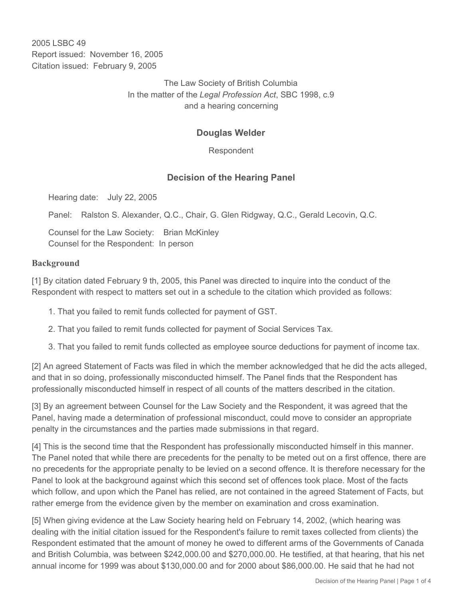2005 LSBC 49 Report issued: November 16, 2005 Citation issued: February 9, 2005

> The Law Society of British Columbia In the matter of the *Legal Profession Act*, SBC 1998, c.9 and a hearing concerning

## **Douglas Welder**

Respondent

## **Decision of the Hearing Panel**

Hearing date: July 22, 2005

Panel: Ralston S. Alexander, Q.C., Chair, G. Glen Ridgway, Q.C., Gerald Lecovin, Q.C.

Counsel for the Law Society: Brian McKinley Counsel for the Respondent: In person

## **Background**

[1] By citation dated February 9 th, 2005, this Panel was directed to inquire into the conduct of the Respondent with respect to matters set out in a schedule to the citation which provided as follows:

- 1. That you failed to remit funds collected for payment of GST.
- 2. That you failed to remit funds collected for payment of Social Services Tax.
- 3. That you failed to remit funds collected as employee source deductions for payment of income tax.

[2] An agreed Statement of Facts was filed in which the member acknowledged that he did the acts alleged, and that in so doing, professionally misconducted himself. The Panel finds that the Respondent has professionally misconducted himself in respect of all counts of the matters described in the citation.

[3] By an agreement between Counsel for the Law Society and the Respondent, it was agreed that the Panel, having made a determination of professional misconduct, could move to consider an appropriate penalty in the circumstances and the parties made submissions in that regard.

[4] This is the second time that the Respondent has professionally misconducted himself in this manner. The Panel noted that while there are precedents for the penalty to be meted out on a first offence, there are no precedents for the appropriate penalty to be levied on a second offence. It is therefore necessary for the Panel to look at the background against which this second set of offences took place. Most of the facts which follow, and upon which the Panel has relied, are not contained in the agreed Statement of Facts, but rather emerge from the evidence given by the member on examination and cross examination.

[5] When giving evidence at the Law Society hearing held on February 14, 2002, (which hearing was dealing with the initial citation issued for the Respondent's failure to remit taxes collected from clients) the Respondent estimated that the amount of money he owed to different arms of the Governments of Canada and British Columbia, was between \$242,000.00 and \$270,000.00. He testified, at that hearing, that his net annual income for 1999 was about \$130,000.00 and for 2000 about \$86,000.00. He said that he had not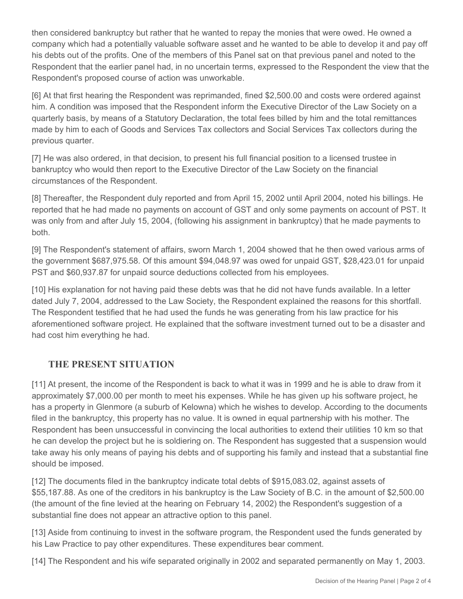then considered bankruptcy but rather that he wanted to repay the monies that were owed. He owned a company which had a potentially valuable software asset and he wanted to be able to develop it and pay off his debts out of the profits. One of the members of this Panel sat on that previous panel and noted to the Respondent that the earlier panel had, in no uncertain terms, expressed to the Respondent the view that the Respondent's proposed course of action was unworkable.

[6] At that first hearing the Respondent was reprimanded, fined \$2,500.00 and costs were ordered against him. A condition was imposed that the Respondent inform the Executive Director of the Law Society on a quarterly basis, by means of a Statutory Declaration, the total fees billed by him and the total remittances made by him to each of Goods and Services Tax collectors and Social Services Tax collectors during the previous quarter.

[7] He was also ordered, in that decision, to present his full financial position to a licensed trustee in bankruptcy who would then report to the Executive Director of the Law Society on the financial circumstances of the Respondent.

[8] Thereafter, the Respondent duly reported and from April 15, 2002 until April 2004, noted his billings. He reported that he had made no payments on account of GST and only some payments on account of PST. It was only from and after July 15, 2004, (following his assignment in bankruptcy) that he made payments to both.

[9] The Respondent's statement of affairs, sworn March 1, 2004 showed that he then owed various arms of the government \$687,975.58. Of this amount \$94,048.97 was owed for unpaid GST, \$28,423.01 for unpaid PST and \$60,937.87 for unpaid source deductions collected from his employees.

[10] His explanation for not having paid these debts was that he did not have funds available. In a letter dated July 7, 2004, addressed to the Law Society, the Respondent explained the reasons for this shortfall. The Respondent testified that he had used the funds he was generating from his law practice for his aforementioned software project. He explained that the software investment turned out to be a disaster and had cost him everything he had.

## **THE PRESENT SITUATION**

[11] At present, the income of the Respondent is back to what it was in 1999 and he is able to draw from it approximately \$7,000.00 per month to meet his expenses. While he has given up his software project, he has a property in Glenmore (a suburb of Kelowna) which he wishes to develop. According to the documents filed in the bankruptcy, this property has no value. It is owned in equal partnership with his mother. The Respondent has been unsuccessful in convincing the local authorities to extend their utilities 10 km so that he can develop the project but he is soldiering on. The Respondent has suggested that a suspension would take away his only means of paying his debts and of supporting his family and instead that a substantial fine should be imposed.

[12] The documents filed in the bankruptcy indicate total debts of \$915,083.02, against assets of \$55,187.88. As one of the creditors in his bankruptcy is the Law Society of B.C. in the amount of \$2,500.00 (the amount of the fine levied at the hearing on February 14, 2002) the Respondent's suggestion of a substantial fine does not appear an attractive option to this panel.

[13] Aside from continuing to invest in the software program, the Respondent used the funds generated by his Law Practice to pay other expenditures. These expenditures bear comment.

[14] The Respondent and his wife separated originally in 2002 and separated permanently on May 1, 2003.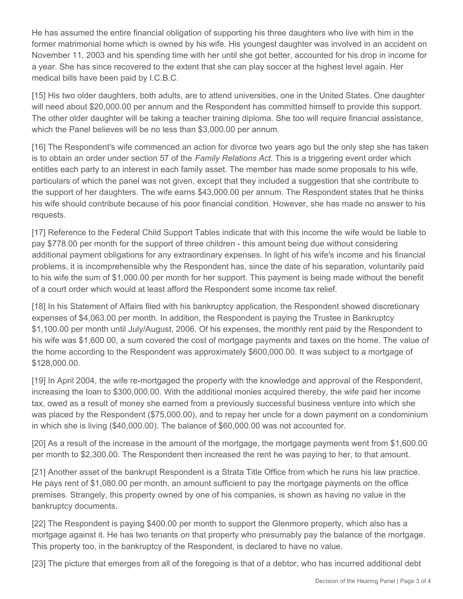He has assumed the entire financial obligation of supporting his three daughters who live with him in the former matrimonial home which is owned by his wife. His youngest daughter was involved in an accident on November 11, 2003 and his spending time with her until she got better, accounted for his drop in income for a year. She has since recovered to the extent that she can play soccer at the highest level again. Her medical bills have been paid by I.C.B.C.

[15] His two older daughters, both adults, are to attend universities, one in the United States. One daughter will need about \$20,000.00 per annum and the Respondent has committed himself to provide this support. The other older daughter will be taking a teacher training diploma. She too will require financial assistance, which the Panel believes will be no less than \$3,000.00 per annum.

[16] The Respondent's wife commenced an action for divorce two years ago but the only step she has taken is to obtain an order under section 57 of the *Family Relations Act*. This is a triggering event order which entitles each party to an interest in each family asset. The member has made some proposals to his wife, particulars of which the panel was not given, except that they included a suggestion that she contribute to the support of her daughters. The wife earns \$43,000.00 per annum. The Respondent states that he thinks his wife should contribute because of his poor financial condition. However, she has made no answer to his requests.

[17] Reference to the Federal Child Support Tables indicate that with this income the wife would be liable to pay \$778.00 per month for the support of three children - this amount being due without considering additional payment obligations for any extraordinary expenses. In light of his wife's income and his financial problems, it is incomprehensible why the Respondent has, since the date of his separation, voluntarily paid to his wife the sum of \$1,000.00 per month for her support. This payment is being made without the benefit of a court order which would at least afford the Respondent some income tax relief.

[18] In his Statement of Affairs filed with his bankruptcy application, the Respondent showed discretionary expenses of \$4,063.00 per month. In addition, the Respondent is paying the Trustee in Bankruptcy \$1,100.00 per month until July/August, 2006. Of his expenses, the monthly rent paid by the Respondent to his wife was \$1,600.00, a sum covered the cost of mortgage payments and taxes on the home. The value of the home according to the Respondent was approximately \$600,000.00. It was subject to a mortgage of \$128,000.00.

[19] In April 2004, the wife re-mortgaged the property with the knowledge and approval of the Respondent, increasing the loan to \$300,000.00. With the additional monies acquired thereby, the wife paid her income tax, owed as a result of money she earned from a previously successful business venture into which she was placed by the Respondent (\$75,000.00), and to repay her uncle for a down payment on a condominium in which she is living (\$40,000.00). The balance of \$60,000.00 was not accounted for.

[20] As a result of the increase in the amount of the mortgage, the mortgage payments went from \$1,600.00 per month to \$2,300.00. The Respondent then increased the rent he was paying to her, to that amount.

[21] Another asset of the bankrupt Respondent is a Strata Title Office from which he runs his law practice. He pays rent of \$1,080.00 per month, an amount sufficient to pay the mortgage payments on the office premises. Strangely, this property owned by one of his companies, is shown as having no value in the bankruptcy documents.

[22] The Respondent is paying \$400.00 per month to support the Glenmore property, which also has a mortgage against it. He has two tenants on that property who presumably pay the balance of the mortgage. This property too, in the bankruptcy of the Respondent, is declared to have no value.

[23] The picture that emerges from all of the foregoing is that of a debtor, who has incurred additional debt